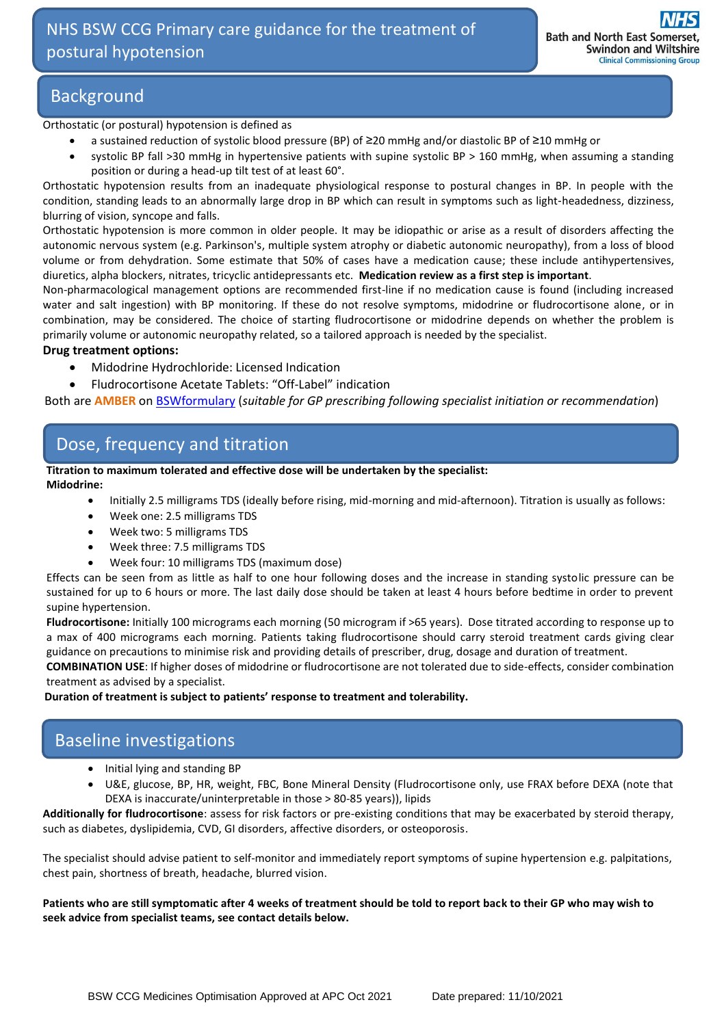## Background

Orthostatic (or postural) hypotension is defined as

- a sustained reduction of systolic blood pressure (BP) of ≥20 mmHg and/or diastolic BP of ≥10 mmHg or
- systolic BP fall >30 mmHg in hypertensive patients with supine systolic BP > 160 mmHg, when assuming a standing position or during a head-up tilt test of at least 60°.

Orthostatic hypotension results from an inadequate physiological response to postural changes in BP. In people with the condition, standing leads to an abnormally large drop in BP which can result in symptoms such as light-headedness, dizziness, blurring of vision, syncope and falls.

Orthostatic hypotension is more common in older people. It may be idiopathic or arise as a result of disorders affecting the autonomic nervous system (e.g. Parkinson's, multiple system atrophy or diabetic autonomic neuropathy), from a loss of blood volume or from dehydration. Some estimate that 50% of cases have a medication cause; these include antihypertensives, diuretics, alpha blockers, nitrates, tricyclic antidepressants etc. **Medication review as a first step is important**.

Non-pharmacological management options are recommended first-line if no medication cause is found (including increased water and salt ingestion) with BP monitoring. If these do not resolve symptoms, midodrine or fludrocortisone alone, or in combination, may be considered. The choice of starting fludrocortisone or midodrine depends on whether the problem is primarily volume or autonomic neuropathy related, so a tailored approach is needed by the specialist.

#### **Drug treatment options:**

- Midodrine Hydrochloride: Licensed Indication
- Fludrocortisone Acetate Tablets: "Off-Label" indication

Both are **AMBER** on [BSWformulary](http://bswformulary.nhs.uk/about.asp) (*suitable for GP prescribing following specialist initiation or recommendation*)

## Dose, frequency and titration

#### **Titration to maximum tolerated and effective dose will be undertaken by the specialist:**

**Midodrine:**

- Initially 2.5 milligrams TDS (ideally before rising, mid-morning and mid-afternoon). Titration is usually as follows:
- Week one: 2.5 milligrams TDS
- Week two: 5 milligrams TDS
- Week three: 7.5 milligrams TDS
- Week four: 10 milligrams TDS (maximum dose)

Effects can be seen from as little as half to one hour following doses and the increase in standing systolic pressure can be sustained for up to 6 hours or more. The last daily dose should be taken at least 4 hours before bedtime in order to prevent supine hypertension.

**Fludrocortisone:** Initially 100 micrograms each morning (50 microgram if >65 years). Dose titrated according to response up to a max of 400 micrograms each morning. Patients taking fludrocortisone should carry steroid treatment cards giving clear guidance on precautions to minimise risk and providing details of prescriber, drug, dosage and duration of treatment.

**COMBINATION USE**: If higher doses of midodrine or fludrocortisone are not tolerated due to side-effects, consider combination treatment as advised by a specialist.

**Duration of treatment is subject to patients' response to treatment and tolerability.**

### Baseline investigations

- Initial lying and standing BP
- U&E, glucose, BP, HR, weight, FBC, Bone Mineral Density (Fludrocortisone only, use FRAX before DEXA (note that DEXA is inaccurate/uninterpretable in those > 80-85 years)), lipids

**Additionally for fludrocortisone**: assess for risk factors or pre-existing conditions that may be exacerbated by steroid therapy, such as diabetes, dyslipidemia, CVD, GI disorders, affective disorders, or osteoporosis.

The specialist should advise patient to self-monitor and immediately report symptoms of supine hypertension e.g. palpitations, chest pain, shortness of breath, headache, blurred vision.

**Patients who are still symptomatic after 4 weeks of treatment should be told to report back to their GP who may wish to seek advice from specialist teams, see contact details below.**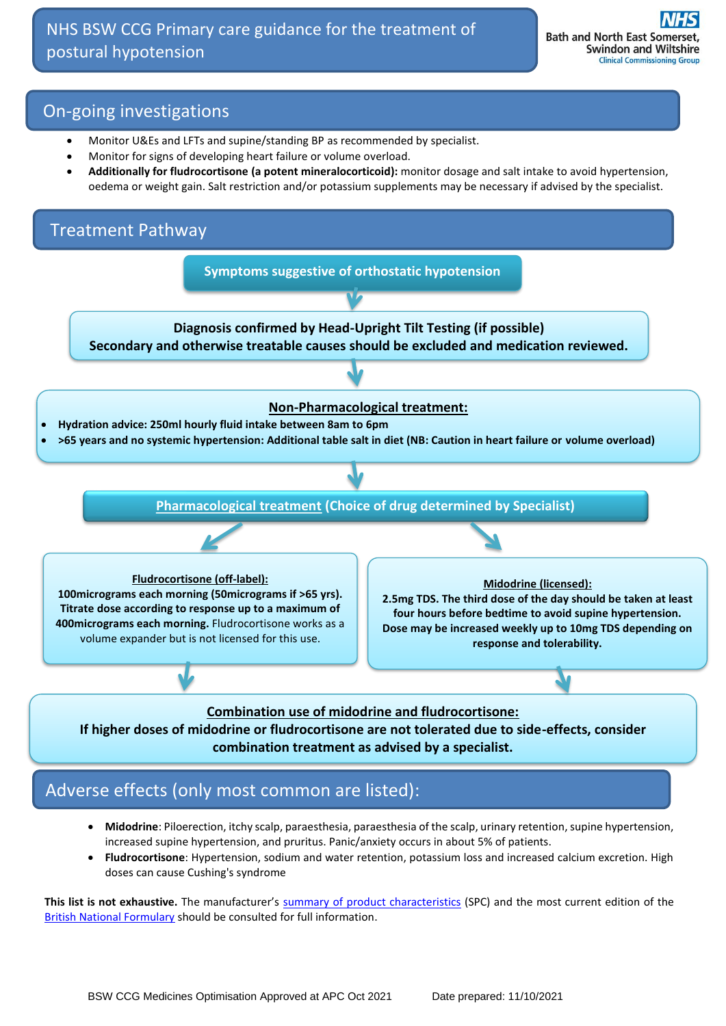### On-going investigations

- Monitor U&Es and LFTs and supine/standing BP as recommended by specialist.
- Monitor for signs of developing heart failure or volume overload.
- **Additionally for fludrocortisone (a potent mineralocorticoid):** monitor dosage and salt intake to avoid hypertension, oedema or weight gain. Salt restriction and/or potassium supplements may be necessary if advised by the specialist.

## Treatment Pathway

**Symptoms suggestive of orthostatic hypotension**

**Diagnosis confirmed by Head-Upright Tilt Testing (if possible) Secondary and otherwise treatable causes should be excluded and medication reviewed.**

#### **Non-Pharmacological treatment:**

- **Hydration advice: 250ml hourly fluid intake between 8am to 6pm**
- **>65 years and no systemic hypertension: Additional table salt in diet (NB: Caution in heart failure or volume overload)**

**Pharmacological treatment (Choice of drug determined by Specialist)**

#### **Fludrocortisone (off-label):**

**100micrograms each morning (50micrograms if >65 yrs). Titrate dose according to response up to a maximum of 400micrograms each morning.** Fludrocortisone works as a volume expander but is not licensed for this use.

#### **Midodrine (licensed):**

**2.5mg TDS. The third dose of the day should be taken at least four hours before bedtime to avoid supine hypertension. Dose may be increased weekly up to 10mg TDS depending on response and tolerability.**

#### **Combination use of midodrine and fludrocortisone:**

**If higher doses of midodrine or fludrocortisone are not tolerated due to side-effects, consider combination treatment as advised by a specialist.**

# Adverse effects (only most common are listed):

- **Midodrine**: Piloerection, itchy scalp, paraesthesia, paraesthesia of the scalp, urinary retention, supine hypertension, increased supine hypertension, and pruritus. Panic/anxiety occurs in about 5% of patients.
- **Fludrocortisone**: Hypertension, sodium and water retention, potassium loss and increased calcium excretion. High doses can cause Cushing's syndrome

**This list is not exhaustive.** The manufacturer's [summary of product characteristics](https://www.medicines.org.uk/) (SPC) and the most current edition of the [British National Formulary](https://bnf.nice.org.uk/) should be consulted for full information.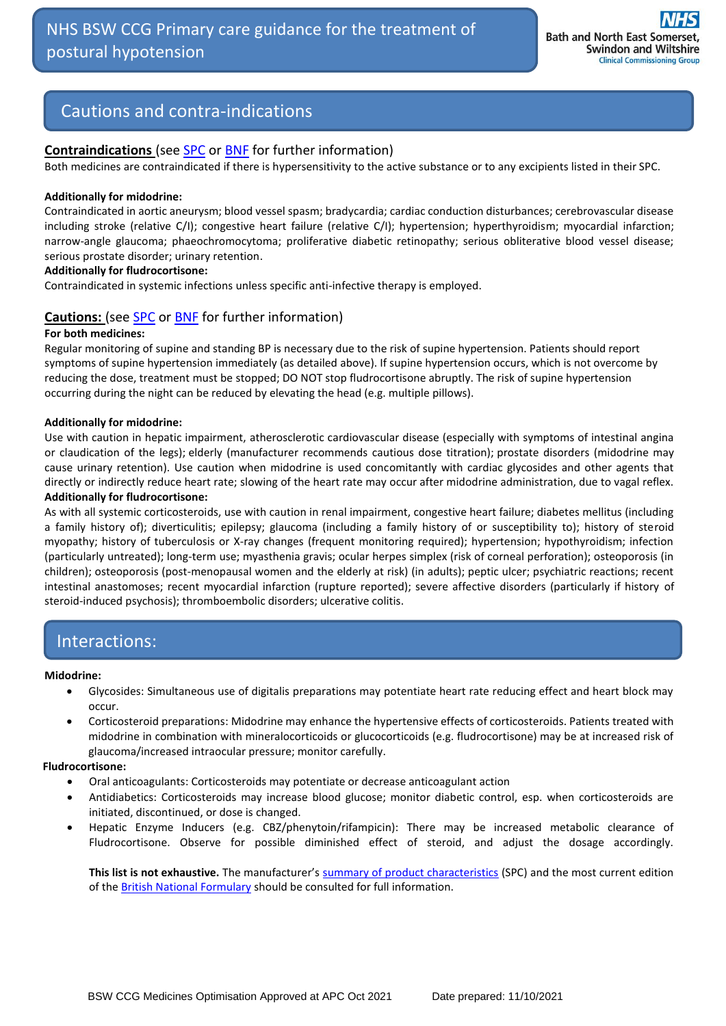## Cautions and contra-indications

### **Contraindications** (see **SPC** or **BNF** for further information)

Both medicines are contraindicated if there is hypersensitivity to the active substance or to any excipients listed in their SPC.

#### **Additionally for midodrine:**

Contraindicated in aortic aneurysm; blood vessel spasm; bradycardia; cardiac conduction disturbances; cerebrovascular disease including stroke (relative C/I); congestive heart failure (relative C/I); hypertension; hyperthyroidism; myocardial infarction; narrow-angle glaucoma; phaeochromocytoma; proliferative diabetic retinopathy; serious obliterative blood vessel disease; serious prostate disorder; urinary retention.

#### **Additionally for fludrocortisone:**

Contraindicated in systemic infections unless specific anti-infective therapy is employed.

### **Cautions:** (see [SPC](https://www.medicines.org.uk/emc) or [BNF](https://bnf.nice.org.uk/) for further information)

#### **For both medicines:**

Regular monitoring of supine and standing BP is necessary due to the risk of supine hypertension. Patients should report symptoms of supine hypertension immediately (as detailed above). If supine hypertension occurs, which is not overcome by reducing the dose, treatment must be stopped; DO NOT stop fludrocortisone abruptly. The risk of supine hypertension occurring during the night can be reduced by elevating the head (e.g. multiple pillows).

#### **Additionally for midodrine:**

Use with caution in hepatic impairment, atherosclerotic cardiovascular disease (especially with symptoms of intestinal angina or claudication of the legs); elderly (manufacturer recommends cautious dose titration); prostate disorders (midodrine may cause urinary retention). Use caution when midodrine is used concomitantly with cardiac glycosides and other agents that directly or indirectly reduce heart rate; slowing of the heart rate may occur after midodrine administration, due to vagal reflex. **Additionally for fludrocortisone:**

As with all systemic corticosteroids, use with caution in renal impairment, congestive heart failure; diabetes mellitus (including a family history of); diverticulitis; epilepsy; glaucoma (including a family history of or susceptibility to); history of steroid myopathy; history of tuberculosis or X-ray changes (frequent monitoring required); hypertension; hypothyroidism; infection (particularly untreated); long-term use; myasthenia gravis; ocular herpes simplex (risk of corneal perforation); osteoporosis (in children); osteoporosis (post-menopausal women and the elderly at risk) (in adults); peptic ulcer; psychiatric reactions; recent intestinal anastomoses; recent myocardial infarction (rupture reported); severe affective disorders (particularly if history of steroid-induced psychosis); thromboembolic disorders; ulcerative colitis.

## Interactions:

#### **Midodrine:**

- Glycosides: Simultaneous use of digitalis preparations may potentiate heart rate reducing effect and heart block may occur.
- Corticosteroid preparations: Midodrine may enhance the hypertensive effects of corticosteroids. Patients treated with midodrine in combination with mineralocorticoids or glucocorticoids (e.g. fludrocortisone) may be at increased risk of glaucoma/increased intraocular pressure; monitor carefully.

#### **Fludrocortisone:**

- Oral anticoagulants: Corticosteroids may potentiate or decrease anticoagulant action
- Antidiabetics: Corticosteroids may increase blood glucose; monitor diabetic control, esp. when corticosteroids are initiated, discontinued, or dose is changed.
- Hepatic Enzyme Inducers (e.g. CBZ/phenytoin/rifampicin): There may be increased metabolic clearance of Fludrocortisone. Observe for possible diminished effect of steroid, and adjust the dosage accordingly.

**This list is not exhaustive.** The manufacturer's [summary of product characteristics](https://www.medicines.org.uk/) (SPC) and the most current edition of th[e British National Formulary](https://bnf.nice.org.uk/) should be consulted for full information.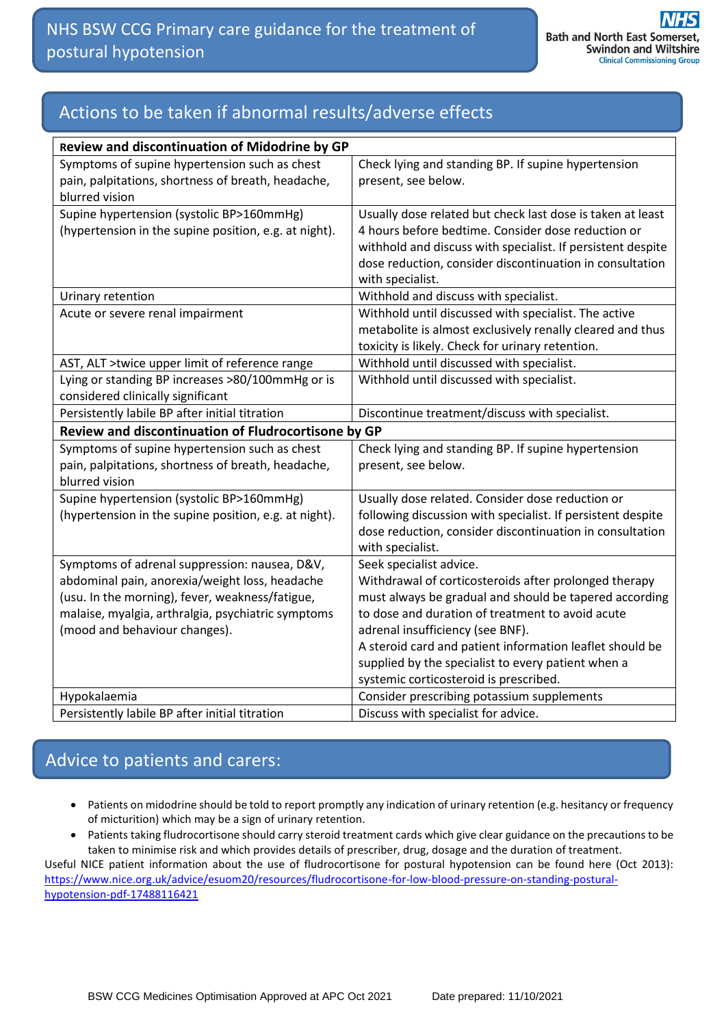# Actions to be taken if abnormal results/adverse effects

| Review and discontinuation of Midodrine by GP         |                                                             |  |  |  |
|-------------------------------------------------------|-------------------------------------------------------------|--|--|--|
| Symptoms of supine hypertension such as chest         | Check lying and standing BP. If supine hypertension         |  |  |  |
| pain, palpitations, shortness of breath, headache,    | present, see below.                                         |  |  |  |
| blurred vision                                        |                                                             |  |  |  |
| Supine hypertension (systolic BP>160mmHg)             | Usually dose related but check last dose is taken at least  |  |  |  |
| (hypertension in the supine position, e.g. at night). | 4 hours before bedtime. Consider dose reduction or          |  |  |  |
|                                                       | withhold and discuss with specialist. If persistent despite |  |  |  |
|                                                       | dose reduction, consider discontinuation in consultation    |  |  |  |
|                                                       | with specialist.                                            |  |  |  |
| Urinary retention                                     | Withhold and discuss with specialist.                       |  |  |  |
| Acute or severe renal impairment                      | Withhold until discussed with specialist. The active        |  |  |  |
|                                                       | metabolite is almost exclusively renally cleared and thus   |  |  |  |
|                                                       | toxicity is likely. Check for urinary retention.            |  |  |  |
| AST, ALT >twice upper limit of reference range        | Withhold until discussed with specialist.                   |  |  |  |
| Lying or standing BP increases >80/100mmHg or is      | Withhold until discussed with specialist.                   |  |  |  |
| considered clinically significant                     |                                                             |  |  |  |
| Persistently labile BP after initial titration        | Discontinue treatment/discuss with specialist.              |  |  |  |
| Review and discontinuation of Fludrocortisone by GP   |                                                             |  |  |  |
| Symptoms of supine hypertension such as chest         | Check lying and standing BP. If supine hypertension         |  |  |  |
| pain, palpitations, shortness of breath, headache,    | present, see below.                                         |  |  |  |
| blurred vision                                        |                                                             |  |  |  |
| Supine hypertension (systolic BP>160mmHg)             | Usually dose related. Consider dose reduction or            |  |  |  |
| (hypertension in the supine position, e.g. at night). | following discussion with specialist. If persistent despite |  |  |  |
|                                                       | dose reduction, consider discontinuation in consultation    |  |  |  |
|                                                       | with specialist.                                            |  |  |  |
| Symptoms of adrenal suppression: nausea, D&V,         | Seek specialist advice.                                     |  |  |  |
| abdominal pain, anorexia/weight loss, headache        | Withdrawal of corticosteroids after prolonged therapy       |  |  |  |
| (usu. In the morning), fever, weakness/fatigue,       | must always be gradual and should be tapered according      |  |  |  |
| malaise, myalgia, arthralgia, psychiatric symptoms    | to dose and duration of treatment to avoid acute            |  |  |  |
| (mood and behaviour changes).                         | adrenal insufficiency (see BNF).                            |  |  |  |
|                                                       | A steroid card and patient information leaflet should be    |  |  |  |
|                                                       | supplied by the specialist to every patient when a          |  |  |  |
|                                                       | systemic corticosteroid is prescribed.                      |  |  |  |
| Hypokalaemia                                          | Consider prescribing potassium supplements                  |  |  |  |
| Persistently labile BP after initial titration        | Discuss with specialist for advice.                         |  |  |  |

## Advice to patients and carers:

- Patients on midodrine should be told to report promptly any indication of urinary retention (e.g. hesitancy or frequency of micturition) which may be a sign of urinary retention.
- Patients taking fludrocortisone should carry steroid treatment cards which give clear guidance on the precautions to be taken to minimise risk and which provides details of prescriber, drug, dosage and the duration of treatment.

Useful NICE patient information about the use of fludrocortisone for postural hypotension can be found here (Oct 2013): [https://www.nice.org.uk/advice/esuom20/resources/fludrocortisone-for-low-blood-pressure-on-standing-postural](https://www.nice.org.uk/advice/esuom20/resources/fludrocortisone-for-low-blood-pressure-on-standing-postural-hypotension-pdf-17488116421)[hypotension-pdf-17488116421](https://www.nice.org.uk/advice/esuom20/resources/fludrocortisone-for-low-blood-pressure-on-standing-postural-hypotension-pdf-17488116421)